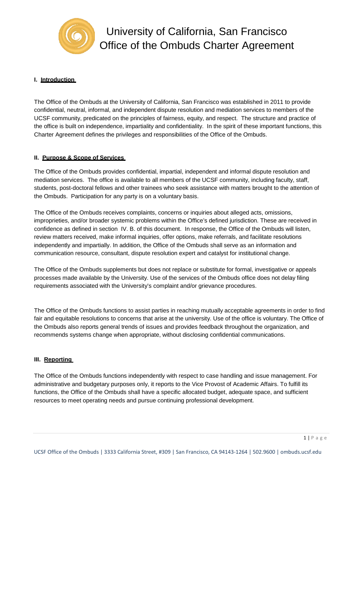

# **I. Introduction**

The Office of the Ombuds at the University of California, San Francisco was established in 2011 to provide confidential, neutral, informal, and independent dispute resolution and mediation services to members of the UCSF community, predicated on the principles of fairness, equity, and respect. The structure and practice of the office is built on independence, impartiality and confidentiality. In the spirit of these important functions, this Charter Agreement defines the privileges and responsibilities of the Office of the Ombuds.

## **II. Purpose & Scope of Services**

The Office of the Ombuds provides confidential, impartial, independent and informal dispute resolution and mediation services. The office is available to all members of the UCSF community, including faculty, staff, students, post-doctoral fellows and other trainees who seek assistance with matters brought to the attention of the Ombuds. Participation for any party is on a voluntary basis.

The Office of the Ombuds receives complaints, concerns or inquiries about alleged acts, omissions, improprieties, and/or broader systemic problems within the Office's defined jurisdiction. These are received in confidence as defined in section IV. B. of this document. In response, the Office of the Ombuds will listen, review matters received, make informal inquiries, offer options, make referrals, and facilitate resolutions independently and impartially. In addition, the Office of the Ombuds shall serve as an information and communication resource, consultant, dispute resolution expert and catalyst for institutional change.

The Office of the Ombuds supplements but does not replace or substitute for formal, investigative or appeals processes made available by the University. Use of the services of the Ombuds office does not delay filing requirements associated with the University's complaint and/or grievance procedures.

The Office of the Ombuds functions to assist parties in reaching mutually acceptable agreements in order to find fair and equitable resolutions to concerns that arise at the university. Use of the office is voluntary. The Office of the Ombuds also reports general trends of issues and provides feedback throughout the organization, and recommends systems change when appropriate, without disclosing confidential communications.

#### **III. Reporting**

The Office of the Ombuds functions independently with respect to case handling and issue management. For administrative and budgetary purposes only, it reports to the Vice Provost of Academic Affairs. To fulfill its functions, the Office of the Ombuds shall have a specific allocated budget, adequate space, and sufficient resources to meet operating needs and pursue continuing professional development.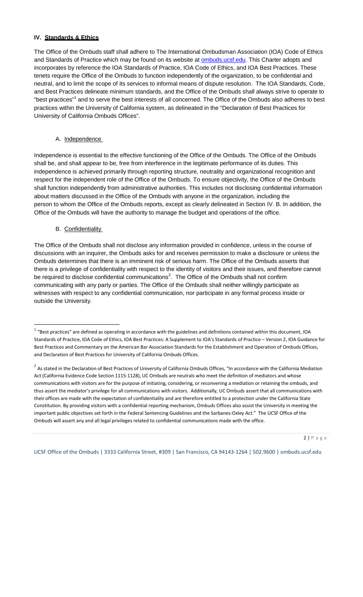### **IV. Standards & Ethics**

The Office of the Ombuds staff shall adhere to The International Ombudsman Association (IOA) Code of Ethics and Standards of Practice which may be found on its website at **ombuds.ucsf.edu**. This Charter adopts and incorporates by reference the IOA Standards of Practice, IOA Code of Ethics, and IOA Best Practices. These tenets require the Office of the Ombuds to function independently of the organization, to be confidential and neutral, and to limit the scope of its services to informal means of dispute resolution. The IOA Standards, Code, and Best Practices delineate minimum standards, and the Office of the Ombuds shall always strive to operate to "best practices"<sup>1</sup> and to serve the best interests of all concerned. The Office of the Ombuds also adheres to best practices within the University of California system, as delineated in the "Declaration of Best Practices for University of California Ombuds Offices".

#### A. Independence

Independence is essential to the effective functioning of the Office of the Ombuds. The Office of the Ombuds shall be, and shall appear to be, free from interference in the legitimate performance of its duties. This independence is achieved primarily through reporting structure, neutrality and organizational recognition and respect for the independent role of the Office of the Ombuds. To ensure objectivity, the Office of the Ombuds shall function independently from administrative authorities. This includes not disclosing confidential information about matters discussed in the Office of the Ombuds with anyone in the organization, including the person to whom the Office of the Ombuds reports, except as clearly delineated in Section IV. B. In addition, the Office of the Ombuds will have the authority to manage the budget and operations of the office.

### B. Confidentiality

The Office of the Ombuds shall not disclose any information provided in confidence, unless in the course of discussions with an inquirer, the Ombuds asks for and receives permission to make a disclosure or unless the Ombuds determines that there is an imminent risk of serious harm. The Office of the Ombuds asserts that there is a privilege of confidentiality with respect to the identity of visitors and their issues, and therefore cannot be required to disclose confidential communications<sup>2</sup>. The Office of the Ombuds shall not confirm communicating with any party or parties. The Office of the Ombuds shall neither willingly participate as witnesses with respect to any confidential communication, nor participate in any formal process inside or outside the University.

 $2 | P a g e$ 

 $1$  "Best practices" are defined as operating in accordance with the guidelines and definitions contained within this document, IOA Standards of Practice, IOA Code of Ethics, IOA Best Practices: A Supplement to IOA's Standards of Practice – Version 2, IOA Guidance for Best Practices and Commentary on the American Bar Association Standards for the Establishment and Operation of Ombuds Offices, and Declaration of Best Practices for University of California Ombuds Offices.

 $2$  As stated in the Declaration of Best Practices of University of California Ombuds Offices, "In accordance with the California Mediation Act (California Evidence Code Section 1115-1128), UC Ombuds are neutrals who meet the definition of mediators and whose communications with visitors are for the purpose of initiating, considering, or reconvening a mediation or retaining the ombuds, and thus assert the mediator's privilege for all communications with visitors. Additionally, UC Ombuds assert that all communications with their offices are made with the expectation of confidentiality and are therefore entitled to a protection under the California State Constitution. By providing visitors with a confidential reporting mechanism, Ombuds Offices also assist the University in meeting the important public objectives set forth in the Federal Sentencing Guidelines and the Sarbanes‐Oxley Act." The UCSF Office of the Ombuds will assert any and all legal privileges related to confidential communications made with the office.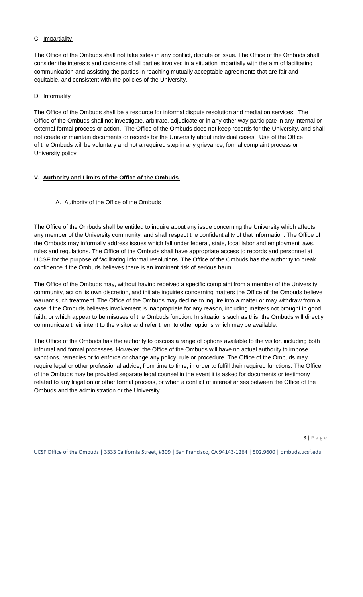### C. Impartiality

The Office of the Ombuds shall not take sides in any conflict, dispute or issue. The Office of the Ombuds shall consider the interests and concerns of all parties involved in a situation impartially with the aim of facilitating communication and assisting the parties in reaching mutually acceptable agreements that are fair and equitable, and consistent with the policies of the University.

### D. Informality

The Office of the Ombuds shall be a resource for informal dispute resolution and mediation services. The Office of the Ombuds shall not investigate, arbitrate, adjudicate or in any other way participate in any internal or external formal process or action. The Office of the Ombuds does not keep records for the University, and shall not create or maintain documents or records for the University about individual cases. Use of the Office of the Ombuds will be voluntary and not a required step in any grievance, formal complaint process or University policy.

### **V. Authority and Limits of the Office of the Ombuds**

## A. Authority of the Office of the Ombuds

The Office of the Ombuds shall be entitled to inquire about any issue concerning the University which affects any member of the University community, and shall respect the confidentiality of that information. The Office of the Ombuds may informally address issues which fall under federal, state, local labor and employment laws, rules and regulations. The Office of the Ombuds shall have appropriate access to records and personnel at UCSF for the purpose of facilitating informal resolutions. The Office of the Ombuds has the authority to break confidence if the Ombuds believes there is an imminent risk of serious harm.

The Office of the Ombuds may, without having received a specific complaint from a member of the University community, act on its own discretion, and initiate inquiries concerning matters the Office of the Ombuds believe warrant such treatment. The Office of the Ombuds may decline to inquire into a matter or may withdraw from a case if the Ombuds believes involvement is inappropriate for any reason, including matters not brought in good faith, or which appear to be misuses of the Ombuds function. In situations such as this, the Ombuds will directly communicate their intent to the visitor and refer them to other options which may be available.

The Office of the Ombuds has the authority to discuss a range of options available to the visitor, including both informal and formal processes. However, the Office of the Ombuds will have no actual authority to impose sanctions, remedies or to enforce or change any policy, rule or procedure. The Office of the Ombuds may require legal or other professional advice, from time to time, in order to fulfill their required functions. The Office of the Ombuds may be provided separate legal counsel in the event it is asked for documents or testimony related to any litigation or other formal process, or when a conflict of interest arises between the Office of the Ombuds and the administration or the University.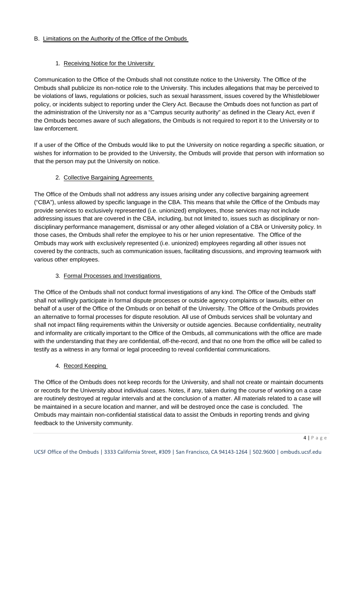## B. Limitations on the Authority of the Office of the Ombuds

# 1. Receiving Notice for the University

Communication to the Office of the Ombuds shall not constitute notice to the University. The Office of the Ombuds shall publicize its non-notice role to the University. This includes allegations that may be perceived to be violations of laws, regulations or policies, such as sexual harassment, issues covered by the Whistleblower policy, or incidents subject to reporting under the Clery Act. Because the Ombuds does not function as part of the administration of the University nor as a "Campus security authority" as defined in the Cleary Act, even if the Ombuds becomes aware of such allegations, the Ombuds is not required to report it to the University or to law enforcement.

If a user of the Office of the Ombuds would like to put the University on notice regarding a specific situation, or wishes for information to be provided to the University, the Ombuds will provide that person with information so that the person may put the University on notice.

# 2. Collective Bargaining Agreements

The Office of the Ombuds shall not address any issues arising under any collective bargaining agreement ("CBA"), unless allowed by specific language in the CBA. This means that while the Office of the Ombuds may provide services to exclusively represented (i.e. unionized) employees, those services may not include addressing issues that are covered in the CBA, including, but not limited to, issues such as disciplinary or nondisciplinary performance management, dismissal or any other alleged violation of a CBA or University policy. In those cases, the Ombuds shall refer the employee to his or her union representative. The Office of the Ombuds may work with exclusively represented (i.e. unionized) employees regarding all other issues not covered by the contracts, such as communication issues, facilitating discussions, and improving teamwork with various other employees.

# 3. Formal Processes and Investigations

The Office of the Ombuds shall not conduct formal investigations of any kind. The Office of the Ombuds staff shall not willingly participate in formal dispute processes or outside agency complaints or lawsuits, either on behalf of a user of the Office of the Ombuds or on behalf of the University. The Office of the Ombuds provides an alternative to formal processes for dispute resolution. All use of Ombuds services shall be voluntary and shall not impact filing requirements within the University or outside agencies. Because confidentiality, neutrality and informality are critically important to the Office of the Ombuds, all communications with the office are made with the understanding that they are confidential, off-the-record, and that no one from the office will be called to testify as a witness in any formal or legal proceeding to reveal confidential communications.

## 4. Record Keeping

The Office of the Ombuds does not keep records for the University, and shall not create or maintain documents or records for the University about individual cases. Notes, if any, taken during the course of working on a case are routinely destroyed at regular intervals and at the conclusion of a matter. All materials related to a case will be maintained in a secure location and manner, and will be destroyed once the case is concluded. The Ombuds may maintain non-confidential statistical data to assist the Ombuds in reporting trends and giving feedback to the University community.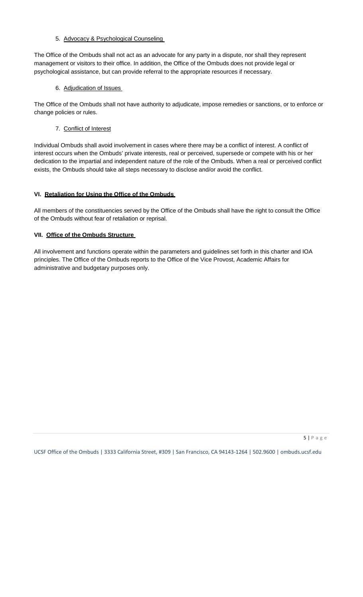5. Advocacy & Psychological Counseling

The Office of the Ombuds shall not act as an advocate for any party in a dispute, nor shall they represent management or visitors to their office. In addition, the Office of the Ombuds does not provide legal or psychological assistance, but can provide referral to the appropriate resources if necessary.

6. Adjudication of Issues

The Office of the Ombuds shall not have authority to adjudicate, impose remedies or sanctions, or to enforce or change policies or rules.

7. Conflict of Interest

Individual Ombuds shall avoid involvement in cases where there may be a conflict of interest. A conflict of interest occurs when the Ombuds' private interests, real or perceived, supersede or compete with his or her dedication to the impartial and independent nature of the role of the Ombuds. When a real or perceived conflict exists, the Ombuds should take all steps necessary to disclose and/or avoid the conflict.

### **VI. Retaliation for Using the Office of the Ombuds**

All members of the constituencies served by the Office of the Ombuds shall have the right to consult the Office of the Ombuds without fear of retaliation or reprisal.

### **VII. Office of the Ombuds Structure**

All involvement and functions operate within the parameters and guidelines set forth in this charter and IOA principles. The Office of the Ombuds reports to the Office of the Vice Provost, Academic Affairs for administrative and budgetary purposes only.